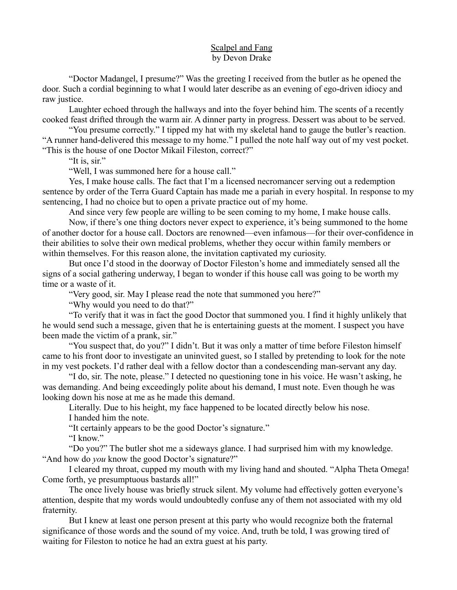## Scalpel and Fang by Devon Drake

"Doctor Madangel, I presume?" Was the greeting I received from the butler as he opened the door. Such a cordial beginning to what I would later describe as an evening of ego-driven idiocy and raw justice.

Laughter echoed through the hallways and into the foyer behind him. The scents of a recently cooked feast drifted through the warm air. A dinner party in progress. Dessert was about to be served.

"You presume correctly." I tipped my hat with my skeletal hand to gauge the butler's reaction. "A runner hand-delivered this message to my home." I pulled the note half way out of my vest pocket. "This is the house of one Doctor Mikail Fileston, correct?"

"It is, sir."

"Well, I was summoned here for a house call."

Yes, I make house calls. The fact that I'm a licensed necromancer serving out a redemption sentence by order of the Terra Guard Captain has made me a pariah in every hospital. In response to my sentencing, I had no choice but to open a private practice out of my home.

And since very few people are willing to be seen coming to my home, I make house calls.

Now, if there's one thing doctors never expect to experience, it's being summoned to the home of another doctor for a house call. Doctors are renowned—even infamous—for their over-confidence in their abilities to solve their own medical problems, whether they occur within family members or within themselves. For this reason alone, the invitation captivated my curiosity.

But once I'd stood in the doorway of Doctor Fileston's home and immediately sensed all the signs of a social gathering underway, I began to wonder if this house call was going to be worth my time or a waste of it.

"Very good, sir. May I please read the note that summoned you here?"

"Why would you need to do that?"

"To verify that it was in fact the good Doctor that summoned you. I find it highly unlikely that he would send such a message, given that he is entertaining guests at the moment. I suspect you have been made the victim of a prank, sir."

"You suspect that, do you?" I didn't. But it was only a matter of time before Fileston himself came to his front door to investigate an uninvited guest, so I stalled by pretending to look for the note in my vest pockets. I'd rather deal with a fellow doctor than a condescending man-servant any day.

"I do, sir. The note, please." I detected no questioning tone in his voice. He wasn't asking, he was demanding. And being exceedingly polite about his demand, I must note. Even though he was looking down his nose at me as he made this demand.

Literally. Due to his height, my face happened to be located directly below his nose.

I handed him the note.

"It certainly appears to be the good Doctor's signature."

"I know."

"Do you?" The butler shot me a sideways glance. I had surprised him with my knowledge. "And how do *you* know the good Doctor's signature?"

I cleared my throat, cupped my mouth with my living hand and shouted. "Alpha Theta Omega! Come forth, ye presumptuous bastards all!"

The once lively house was briefly struck silent. My volume had effectively gotten everyone's attention, despite that my words would undoubtedly confuse any of them not associated with my old fraternity.

But I knew at least one person present at this party who would recognize both the fraternal significance of those words and the sound of my voice. And, truth be told, I was growing tired of waiting for Fileston to notice he had an extra guest at his party.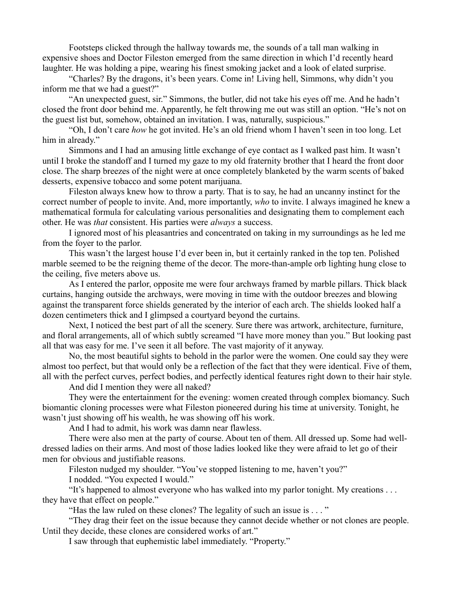Footsteps clicked through the hallway towards me, the sounds of a tall man walking in expensive shoes and Doctor Fileston emerged from the same direction in which I'd recently heard laughter. He was holding a pipe, wearing his finest smoking jacket and a look of elated surprise.

"Charles? By the dragons, it's been years. Come in! Living hell, Simmons, why didn't you inform me that we had a guest?"

"An unexpected guest, sir." Simmons, the butler, did not take his eyes off me. And he hadn't closed the front door behind me. Apparently, he felt throwing me out was still an option. "He's not on the guest list but, somehow, obtained an invitation. I was, naturally, suspicious."

"Oh, I don't care *how* he got invited. He's an old friend whom I haven't seen in too long. Let him in already."

Simmons and I had an amusing little exchange of eye contact as I walked past him. It wasn't until I broke the standoff and I turned my gaze to my old fraternity brother that I heard the front door close. The sharp breezes of the night were at once completely blanketed by the warm scents of baked desserts, expensive tobacco and some potent marijuana.

Fileston always knew how to throw a party. That is to say, he had an uncanny instinct for the correct number of people to invite. And, more importantly, *who* to invite. I always imagined he knew a mathematical formula for calculating various personalities and designating them to complement each other. He was *that* consistent. His parties were *always* a success.

I ignored most of his pleasantries and concentrated on taking in my surroundings as he led me from the foyer to the parlor.

This wasn't the largest house I'd ever been in, but it certainly ranked in the top ten. Polished marble seemed to be the reigning theme of the decor. The more-than-ample orb lighting hung close to the ceiling, five meters above us.

As I entered the parlor, opposite me were four archways framed by marble pillars. Thick black curtains, hanging outside the archways, were moving in time with the outdoor breezes and blowing against the transparent force shields generated by the interior of each arch. The shields looked half a dozen centimeters thick and I glimpsed a courtyard beyond the curtains.

Next, I noticed the best part of all the scenery. Sure there was artwork, architecture, furniture, and floral arrangements, all of which subtly screamed "I have more money than you." But looking past all that was easy for me. I've seen it all before. The vast majority of it anyway.

No, the most beautiful sights to behold in the parlor were the women. One could say they were almost too perfect, but that would only be a reflection of the fact that they were identical. Five of them, all with the perfect curves, perfect bodies, and perfectly identical features right down to their hair style.

And did I mention they were all naked?

They were the entertainment for the evening: women created through complex biomancy. Such biomantic cloning processes were what Fileston pioneered during his time at university. Tonight, he wasn't just showing off his wealth, he was showing off his work.

And I had to admit, his work was damn near flawless.

There were also men at the party of course. About ten of them. All dressed up. Some had welldressed ladies on their arms. And most of those ladies looked like they were afraid to let go of their men for obvious and justifiable reasons.

Fileston nudged my shoulder. "You've stopped listening to me, haven't you?"

I nodded. "You expected I would."

"It's happened to almost everyone who has walked into my parlor tonight. My creations . . . they have that effect on people."

"Has the law ruled on these clones? The legality of such an issue is . . . "

"They drag their feet on the issue because they cannot decide whether or not clones are people. Until they decide, these clones are considered works of art."

I saw through that euphemistic label immediately. "Property."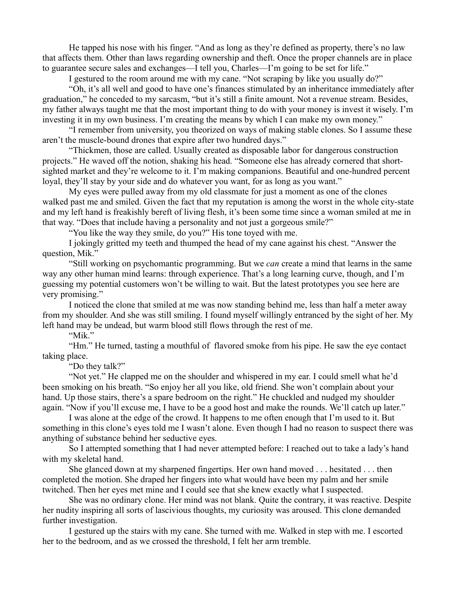He tapped his nose with his finger. "And as long as they're defined as property, there's no law that affects them. Other than laws regarding ownership and theft. Once the proper channels are in place to guarantee secure sales and exchanges—I tell you, Charles—I'm going to be set for life."

I gestured to the room around me with my cane. "Not scraping by like you usually do?"

"Oh, it's all well and good to have one's finances stimulated by an inheritance immediately after graduation," he conceded to my sarcasm, "but it's still a finite amount. Not a revenue stream. Besides, my father always taught me that the most important thing to do with your money is invest it wisely. I'm investing it in my own business. I'm creating the means by which I can make my own money."

"I remember from university, you theorized on ways of making stable clones. So I assume these aren't the muscle-bound drones that expire after two hundred days."

"Thickmen, those are called. Usually created as disposable labor for dangerous construction projects." He waved off the notion, shaking his head. "Someone else has already cornered that shortsighted market and they're welcome to it. I'm making companions. Beautiful and one-hundred percent loyal, they'll stay by your side and do whatever you want, for as long as you want."

My eyes were pulled away from my old classmate for just a moment as one of the clones walked past me and smiled. Given the fact that my reputation is among the worst in the whole city-state and my left hand is freakishly bereft of living flesh, it's been some time since a woman smiled at me in that way. "Does that include having a personality and not just a gorgeous smile?"

"You like the way they smile, do you?" His tone toyed with me.

I jokingly gritted my teeth and thumped the head of my cane against his chest. "Answer the question, Mik."

"Still working on psychomantic programming. But we *can* create a mind that learns in the same way any other human mind learns: through experience. That's a long learning curve, though, and I'm guessing my potential customers won't be willing to wait. But the latest prototypes you see here are very promising."

I noticed the clone that smiled at me was now standing behind me, less than half a meter away from my shoulder. And she was still smiling. I found myself willingly entranced by the sight of her. My left hand may be undead, but warm blood still flows through the rest of me.

"Mik."

"Hm." He turned, tasting a mouthful of flavored smoke from his pipe. He saw the eye contact taking place.

"Do they talk?"

"Not yet." He clapped me on the shoulder and whispered in my ear. I could smell what he'd been smoking on his breath. "So enjoy her all you like, old friend. She won't complain about your hand. Up those stairs, there's a spare bedroom on the right." He chuckled and nudged my shoulder again. "Now if you'll excuse me, I have to be a good host and make the rounds. We'll catch up later."

I was alone at the edge of the crowd. It happens to me often enough that I'm used to it. But something in this clone's eyes told me I wasn't alone. Even though I had no reason to suspect there was anything of substance behind her seductive eyes.

So I attempted something that I had never attempted before: I reached out to take a lady's hand with my skeletal hand.

She glanced down at my sharpened fingertips. Her own hand moved . . . hesitated . . . then completed the motion. She draped her fingers into what would have been my palm and her smile twitched. Then her eyes met mine and I could see that she knew exactly what I suspected.

She was no ordinary clone. Her mind was not blank. Quite the contrary, it was reactive. Despite her nudity inspiring all sorts of lascivious thoughts, my curiosity was aroused. This clone demanded further investigation.

I gestured up the stairs with my cane. She turned with me. Walked in step with me. I escorted her to the bedroom, and as we crossed the threshold, I felt her arm tremble.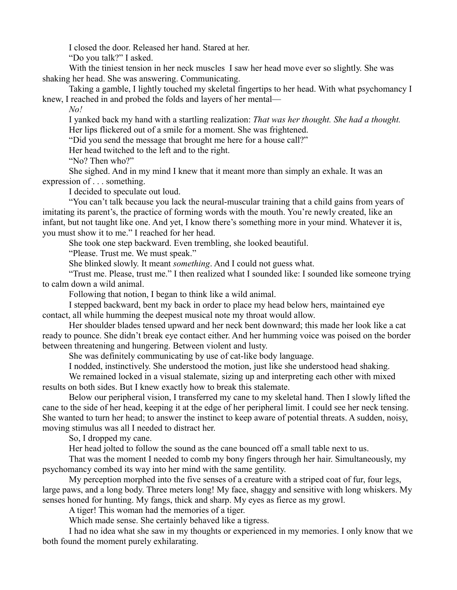I closed the door. Released her hand. Stared at her.

"Do you talk?" I asked.

With the tiniest tension in her neck muscles I saw her head move ever so slightly. She was shaking her head. She was answering. Communicating.

Taking a gamble, I lightly touched my skeletal fingertips to her head. With what psychomancy I knew, I reached in and probed the folds and layers of her mental—

*No!*

I yanked back my hand with a startling realization: *That was her thought. She had a thought.* Her lips flickered out of a smile for a moment. She was frightened.

"Did you send the message that brought me here for a house call?"

Her head twitched to the left and to the right.

"No? Then who?"

She sighed. And in my mind I knew that it meant more than simply an exhale. It was an expression of . . . something.

I decided to speculate out loud.

"You can't talk because you lack the neural-muscular training that a child gains from years of imitating its parent's, the practice of forming words with the mouth. You're newly created, like an infant, but not taught like one. And yet, I know there's something more in your mind. Whatever it is, you must show it to me." I reached for her head.

She took one step backward. Even trembling, she looked beautiful.

"Please. Trust me. We must speak."

She blinked slowly. It meant *something*. And I could not guess what.

"Trust me. Please, trust me." I then realized what I sounded like: I sounded like someone trying to calm down a wild animal.

Following that notion, I began to think like a wild animal.

I stepped backward, bent my back in order to place my head below hers, maintained eye contact, all while humming the deepest musical note my throat would allow.

Her shoulder blades tensed upward and her neck bent downward; this made her look like a cat ready to pounce. She didn't break eye contact either. And her humming voice was poised on the border between threatening and hungering. Between violent and lusty.

She was definitely communicating by use of cat-like body language.

I nodded, instinctively. She understood the motion, just like she understood head shaking.

We remained locked in a visual stalemate, sizing up and interpreting each other with mixed results on both sides. But I knew exactly how to break this stalemate.

Below our peripheral vision, I transferred my cane to my skeletal hand. Then I slowly lifted the cane to the side of her head, keeping it at the edge of her peripheral limit. I could see her neck tensing. She wanted to turn her head; to answer the instinct to keep aware of potential threats. A sudden, noisy, moving stimulus was all I needed to distract her.

So, I dropped my cane.

Her head jolted to follow the sound as the cane bounced off a small table next to us.

That was the moment I needed to comb my bony fingers through her hair. Simultaneously, my psychomancy combed its way into her mind with the same gentility.

My perception morphed into the five senses of a creature with a striped coat of fur, four legs, large paws, and a long body. Three meters long! My face, shaggy and sensitive with long whiskers. My senses honed for hunting. My fangs, thick and sharp. My eyes as fierce as my growl.

A tiger! This woman had the memories of a tiger.

Which made sense. She certainly behaved like a tigress.

I had no idea what she saw in my thoughts or experienced in my memories. I only know that we both found the moment purely exhilarating.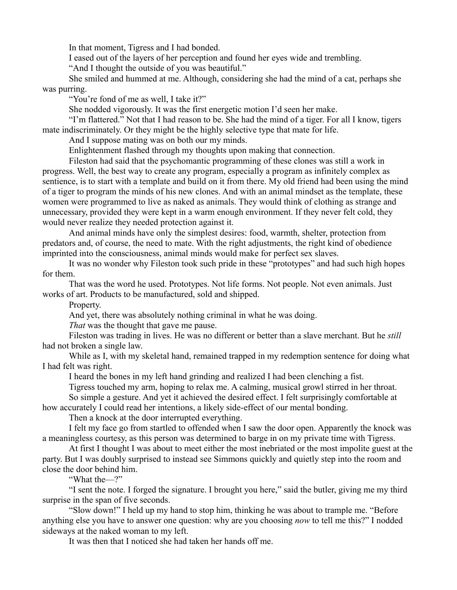In that moment, Tigress and I had bonded.

I eased out of the layers of her perception and found her eyes wide and trembling.

"And I thought the outside of you was beautiful."

She smiled and hummed at me. Although, considering she had the mind of a cat, perhaps she was purring.

"You're fond of me as well, I take it?"

She nodded vigorously. It was the first energetic motion I'd seen her make.

"I'm flattered." Not that I had reason to be. She had the mind of a tiger. For all I know, tigers mate indiscriminately. Or they might be the highly selective type that mate for life.

And I suppose mating was on both our my minds.

Enlightenment flashed through my thoughts upon making that connection.

Fileston had said that the psychomantic programming of these clones was still a work in progress. Well, the best way to create any program, especially a program as infinitely complex as sentience, is to start with a template and build on it from there. My old friend had been using the mind of a tiger to program the minds of his new clones. And with an animal mindset as the template, these women were programmed to live as naked as animals. They would think of clothing as strange and unnecessary, provided they were kept in a warm enough environment. If they never felt cold, they would never realize they needed protection against it.

And animal minds have only the simplest desires: food, warmth, shelter, protection from predators and, of course, the need to mate. With the right adjustments, the right kind of obedience imprinted into the consciousness, animal minds would make for perfect sex slaves.

It was no wonder why Fileston took such pride in these "prototypes" and had such high hopes for them.

That was the word he used. Prototypes. Not life forms. Not people. Not even animals. Just works of art. Products to be manufactured, sold and shipped.

Property.

And yet, there was absolutely nothing criminal in what he was doing.

*That* was the thought that gave me pause.

Fileston was trading in lives. He was no different or better than a slave merchant. But he *still* had not broken a single law.

While as I, with my skeletal hand, remained trapped in my redemption sentence for doing what I had felt was right.

I heard the bones in my left hand grinding and realized I had been clenching a fist.

Tigress touched my arm, hoping to relax me. A calming, musical growl stirred in her throat.

So simple a gesture. And yet it achieved the desired effect. I felt surprisingly comfortable at

how accurately I could read her intentions, a likely side-effect of our mental bonding.

Then a knock at the door interrupted everything.

I felt my face go from startled to offended when I saw the door open. Apparently the knock was a meaningless courtesy, as this person was determined to barge in on my private time with Tigress.

At first I thought I was about to meet either the most inebriated or the most impolite guest at the party. But I was doubly surprised to instead see Simmons quickly and quietly step into the room and close the door behind him.

"What the—?"

"I sent the note. I forged the signature. I brought you here," said the butler, giving me my third surprise in the span of five seconds.

"Slow down!" I held up my hand to stop him, thinking he was about to trample me. "Before anything else you have to answer one question: why are you choosing *now* to tell me this?" I nodded sideways at the naked woman to my left.

It was then that I noticed she had taken her hands off me.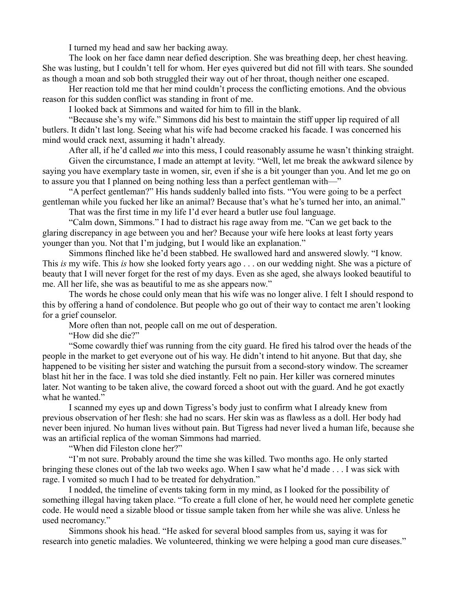I turned my head and saw her backing away.

The look on her face damn near defied description. She was breathing deep, her chest heaving. She was lusting, but I couldn't tell for whom. Her eyes quivered but did not fill with tears. She sounded as though a moan and sob both struggled their way out of her throat, though neither one escaped.

Her reaction told me that her mind couldn't process the conflicting emotions. And the obvious reason for this sudden conflict was standing in front of me.

I looked back at Simmons and waited for him to fill in the blank.

"Because she's my wife." Simmons did his best to maintain the stiff upper lip required of all butlers. It didn't last long. Seeing what his wife had become cracked his facade. I was concerned his mind would crack next, assuming it hadn't already.

After all, if he'd called *me* into this mess, I could reasonably assume he wasn't thinking straight. Given the circumstance, I made an attempt at levity. "Well, let me break the awkward silence by saying you have exemplary taste in women, sir, even if she is a bit younger than you. And let me go on to assure you that I planned on being nothing less than a perfect gentleman with—"

"A perfect gentleman?" His hands suddenly balled into fists. "You were going to be a perfect gentleman while you fucked her like an animal? Because that's what he's turned her into, an animal."

That was the first time in my life I'd ever heard a butler use foul language.

"Calm down, Simmons." I had to distract his rage away from me. "Can we get back to the glaring discrepancy in age between you and her? Because your wife here looks at least forty years younger than you. Not that I'm judging, but I would like an explanation."

Simmons flinched like he'd been stabbed. He swallowed hard and answered slowly. "I know. This *is* my wife. This *is* how she looked forty years ago . . . on our wedding night. She was a picture of beauty that I will never forget for the rest of my days. Even as she aged, she always looked beautiful to me. All her life, she was as beautiful to me as she appears now."

The words he chose could only mean that his wife was no longer alive. I felt I should respond to this by offering a hand of condolence. But people who go out of their way to contact me aren't looking for a grief counselor.

More often than not, people call on me out of desperation.

"How did she die?"

"Some cowardly thief was running from the city guard. He fired his talrod over the heads of the people in the market to get everyone out of his way. He didn't intend to hit anyone. But that day, she happened to be visiting her sister and watching the pursuit from a second-story window. The screamer blast hit her in the face. I was told she died instantly. Felt no pain. Her killer was cornered minutes later. Not wanting to be taken alive, the coward forced a shoot out with the guard. And he got exactly what he wanted."

I scanned my eyes up and down Tigress's body just to confirm what I already knew from previous observation of her flesh: she had no scars. Her skin was as flawless as a doll. Her body had never been injured. No human lives without pain. But Tigress had never lived a human life, because she was an artificial replica of the woman Simmons had married.

"When did Fileston clone her?"

"I'm not sure. Probably around the time she was killed. Two months ago. He only started bringing these clones out of the lab two weeks ago. When I saw what he'd made . . . I was sick with rage. I vomited so much I had to be treated for dehydration."

I nodded, the timeline of events taking form in my mind, as I looked for the possibility of something illegal having taken place. "To create a full clone of her, he would need her complete genetic code. He would need a sizable blood or tissue sample taken from her while she was alive. Unless he used necromancy."

Simmons shook his head. "He asked for several blood samples from us, saying it was for research into genetic maladies. We volunteered, thinking we were helping a good man cure diseases."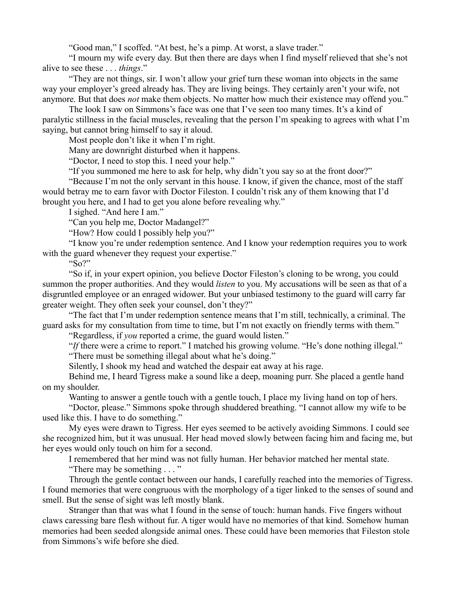"Good man," I scoffed. "At best, he's a pimp. At worst, a slave trader."

"I mourn my wife every day. But then there are days when I find myself relieved that she's not alive to see these . . . *things*."

"They are not things, sir. I won't allow your grief turn these woman into objects in the same way your employer's greed already has. They are living beings. They certainly aren't your wife, not anymore. But that does *not* make them objects. No matter how much their existence may offend you."

The look I saw on Simmons's face was one that I've seen too many times. It's a kind of paralytic stillness in the facial muscles, revealing that the person I'm speaking to agrees with what I'm saying, but cannot bring himself to say it aloud.

Most people don't like it when I'm right.

Many are downright disturbed when it happens.

"Doctor, I need to stop this. I need your help."

"If you summoned me here to ask for help, why didn't you say so at the front door?"

"Because I'm not the only servant in this house. I know, if given the chance, most of the staff would betray me to earn favor with Doctor Fileston. I couldn't risk any of them knowing that I'd brought you here, and I had to get you alone before revealing why."

I sighed. "And here I am."

"Can you help me, Doctor Madangel?"

"How? How could I possibly help you?"

"I know you're under redemption sentence. And I know your redemption requires you to work with the guard whenever they request your expertise."

" $S_0$ ?"

"So if, in your expert opinion, you believe Doctor Fileston's cloning to be wrong, you could summon the proper authorities. And they would *listen* to you. My accusations will be seen as that of a disgruntled employee or an enraged widower. But your unbiased testimony to the guard will carry far greater weight. They often seek your counsel, don't they?"

"The fact that I'm under redemption sentence means that I'm still, technically, a criminal. The guard asks for my consultation from time to time, but I'm not exactly on friendly terms with them."

"Regardless, if *you* reported a crime, the guard would listen."

"*If* there were a crime to report." I matched his growing volume. "He's done nothing illegal."

"There must be something illegal about what he's doing."

Silently, I shook my head and watched the despair eat away at his rage.

Behind me, I heard Tigress make a sound like a deep, moaning purr. She placed a gentle hand on my shoulder.

Wanting to answer a gentle touch with a gentle touch, I place my living hand on top of hers.

"Doctor, please." Simmons spoke through shuddered breathing. "I cannot allow my wife to be used like this. I have to do something."

My eyes were drawn to Tigress. Her eyes seemed to be actively avoiding Simmons. I could see she recognized him, but it was unusual. Her head moved slowly between facing him and facing me, but her eyes would only touch on him for a second.

I remembered that her mind was not fully human. Her behavior matched her mental state.

"There may be something . . . "

Through the gentle contact between our hands, I carefully reached into the memories of Tigress. I found memories that were congruous with the morphology of a tiger linked to the senses of sound and smell. But the sense of sight was left mostly blank.

Stranger than that was what I found in the sense of touch: human hands. Five fingers without claws caressing bare flesh without fur. A tiger would have no memories of that kind. Somehow human memories had been seeded alongside animal ones. These could have been memories that Fileston stole from Simmons's wife before she died.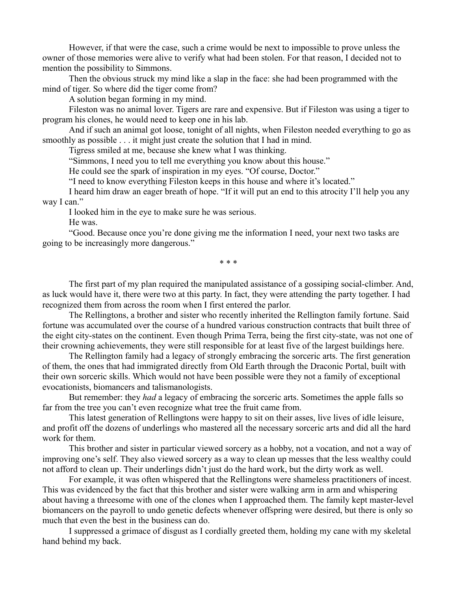However, if that were the case, such a crime would be next to impossible to prove unless the owner of those memories were alive to verify what had been stolen. For that reason, I decided not to mention the possibility to Simmons.

Then the obvious struck my mind like a slap in the face: she had been programmed with the mind of tiger. So where did the tiger come from?

A solution began forming in my mind.

Fileston was no animal lover. Tigers are rare and expensive. But if Fileston was using a tiger to program his clones, he would need to keep one in his lab.

And if such an animal got loose, tonight of all nights, when Fileston needed everything to go as smoothly as possible . . . it might just create the solution that I had in mind.

Tigress smiled at me, because she knew what I was thinking.

"Simmons, I need you to tell me everything you know about this house."

He could see the spark of inspiration in my eyes. "Of course, Doctor."

"I need to know everything Fileston keeps in this house and where it's located."

I heard him draw an eager breath of hope. "If it will put an end to this atrocity I'll help you any way I can."

I looked him in the eye to make sure he was serious.

He was.

"Good. Because once you're done giving me the information I need, your next two tasks are going to be increasingly more dangerous."

\* \* \*

The first part of my plan required the manipulated assistance of a gossiping social-climber. And, as luck would have it, there were two at this party. In fact, they were attending the party together. I had recognized them from across the room when I first entered the parlor.

The Rellingtons, a brother and sister who recently inherited the Rellington family fortune. Said fortune was accumulated over the course of a hundred various construction contracts that built three of the eight city-states on the continent. Even though Prima Terra, being the first city-state, was not one of their crowning achievements, they were still responsible for at least five of the largest buildings here.

The Rellington family had a legacy of strongly embracing the sorceric arts. The first generation of them, the ones that had immigrated directly from Old Earth through the Draconic Portal, built with their own sorceric skills. Which would not have been possible were they not a family of exceptional evocationists, biomancers and talismanologists.

But remember: they *had* a legacy of embracing the sorceric arts. Sometimes the apple falls so far from the tree you can't even recognize what tree the fruit came from.

This latest generation of Rellingtons were happy to sit on their asses, live lives of idle leisure, and profit off the dozens of underlings who mastered all the necessary sorceric arts and did all the hard work for them.

This brother and sister in particular viewed sorcery as a hobby, not a vocation, and not a way of improving one's self. They also viewed sorcery as a way to clean up messes that the less wealthy could not afford to clean up. Their underlings didn't just do the hard work, but the dirty work as well.

For example, it was often whispered that the Rellingtons were shameless practitioners of incest. This was evidenced by the fact that this brother and sister were walking arm in arm and whispering about having a threesome with one of the clones when I approached them. The family kept master-level biomancers on the payroll to undo genetic defects whenever offspring were desired, but there is only so much that even the best in the business can do.

I suppressed a grimace of disgust as I cordially greeted them, holding my cane with my skeletal hand behind my back.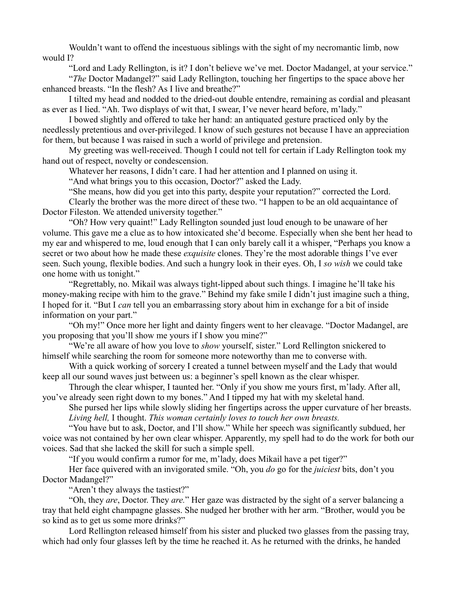Wouldn't want to offend the incestuous siblings with the sight of my necromantic limb, now would I?

"Lord and Lady Rellington, is it? I don't believe we've met. Doctor Madangel, at your service."

"*The* Doctor Madangel?" said Lady Rellington, touching her fingertips to the space above her enhanced breasts. "In the flesh? As I live and breathe?"

I tilted my head and nodded to the dried-out double entendre, remaining as cordial and pleasant as ever as I lied. "Ah. Two displays of wit that, I swear, I've never heard before, m'lady."

I bowed slightly and offered to take her hand: an antiquated gesture practiced only by the needlessly pretentious and over-privileged. I know of such gestures not because I have an appreciation for them, but because I was raised in such a world of privilege and pretension.

My greeting was well-received. Though I could not tell for certain if Lady Rellington took my hand out of respect, novelty or condescension.

Whatever her reasons, I didn't care. I had her attention and I planned on using it.

"And what brings you to this occasion, Doctor?" asked the Lady.

"She means, how did you get into this party, despite your reputation?" corrected the Lord.

Clearly the brother was the more direct of these two. "I happen to be an old acquaintance of Doctor Fileston. We attended university together."

"Oh? How very quaint!" Lady Rellington sounded just loud enough to be unaware of her volume. This gave me a clue as to how intoxicated she'd become. Especially when she bent her head to my ear and whispered to me, loud enough that I can only barely call it a whisper, "Perhaps you know a secret or two about how he made these *exquisite* clones. They're the most adorable things I've ever seen. Such young, flexible bodies. And such a hungry look in their eyes. Oh, I *so wish* we could take one home with us tonight."

"Regrettably, no. Mikail was always tight-lipped about such things. I imagine he'll take his money-making recipe with him to the grave." Behind my fake smile I didn't just imagine such a thing, I hoped for it. "But I *can* tell you an embarrassing story about him in exchange for a bit of inside information on your part."

"Oh my!" Once more her light and dainty fingers went to her cleavage. "Doctor Madangel, are you proposing that you'll show me yours if I show you mine?"

"We're all aware of how you love to *show* yourself, sister." Lord Rellington snickered to himself while searching the room for someone more noteworthy than me to converse with.

With a quick working of sorcery I created a tunnel between myself and the Lady that would keep all our sound waves just between us: a beginner's spell known as the clear whisper.

Through the clear whisper, I taunted her. "Only if you show me yours first, m'lady. After all, you've already seen right down to my bones." And I tipped my hat with my skeletal hand.

She pursed her lips while slowly sliding her fingertips across the upper curvature of her breasts. *Living hell,* I thought. *This woman certainly loves to touch her own breasts.*

"You have but to ask, Doctor, and I'll show." While her speech was significantly subdued, her voice was not contained by her own clear whisper. Apparently, my spell had to do the work for both our voices. Sad that she lacked the skill for such a simple spell.

"If you would confirm a rumor for me, m'lady, does Mikail have a pet tiger?"

Her face quivered with an invigorated smile. "Oh, you *do* go for the *juiciest* bits, don't you Doctor Madangel?"

"Aren't they always the tastiest?"

"Oh, they *are*, Doctor. They *are.*" Her gaze was distracted by the sight of a server balancing a tray that held eight champagne glasses. She nudged her brother with her arm. "Brother, would you be so kind as to get us some more drinks?"

Lord Rellington released himself from his sister and plucked two glasses from the passing tray, which had only four glasses left by the time he reached it. As he returned with the drinks, he handed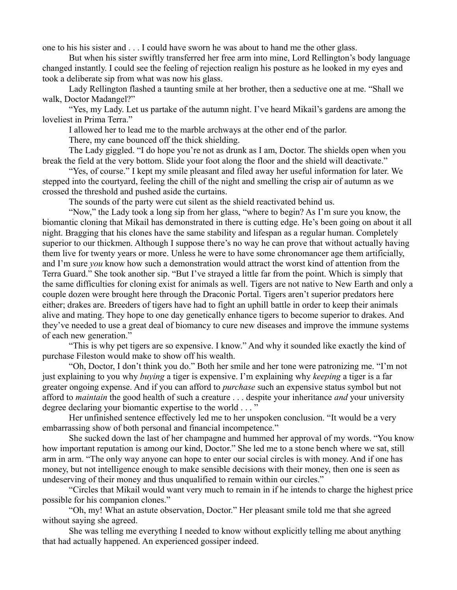one to his his sister and . . . I could have sworn he was about to hand me the other glass.

But when his sister swiftly transferred her free arm into mine, Lord Rellington's body language changed instantly. I could see the feeling of rejection realign his posture as he looked in my eyes and took a deliberate sip from what was now his glass.

Lady Rellington flashed a taunting smile at her brother, then a seductive one at me. "Shall we walk, Doctor Madangel?"

"Yes, my Lady. Let us partake of the autumn night. I've heard Mikail's gardens are among the loveliest in Prima Terra."

I allowed her to lead me to the marble archways at the other end of the parlor.

There, my cane bounced off the thick shielding.

The Lady giggled. "I do hope you're not as drunk as I am, Doctor. The shields open when you break the field at the very bottom. Slide your foot along the floor and the shield will deactivate."

"Yes, of course." I kept my smile pleasant and filed away her useful information for later. We stepped into the courtyard, feeling the chill of the night and smelling the crisp air of autumn as we crossed the threshold and pushed aside the curtains.

The sounds of the party were cut silent as the shield reactivated behind us.

"Now," the Lady took a long sip from her glass, "where to begin? As I'm sure you know, the biomantic cloning that Mikail has demonstrated in there is cutting edge. He's been going on about it all night. Bragging that his clones have the same stability and lifespan as a regular human. Completely superior to our thickmen. Although I suppose there's no way he can prove that without actually having them live for twenty years or more. Unless he were to have some chronomancer age them artificially, and I'm sure *you* know how such a demonstration would attract the worst kind of attention from the Terra Guard." She took another sip. "But I've strayed a little far from the point. Which is simply that the same difficulties for cloning exist for animals as well. Tigers are not native to New Earth and only a couple dozen were brought here through the Draconic Portal. Tigers aren't superior predators here either; drakes are. Breeders of tigers have had to fight an uphill battle in order to keep their animals alive and mating. They hope to one day genetically enhance tigers to become superior to drakes. And they've needed to use a great deal of biomancy to cure new diseases and improve the immune systems of each new generation."

"This is why pet tigers are so expensive. I know." And why it sounded like exactly the kind of purchase Fileston would make to show off his wealth.

"Oh, Doctor, I don't think you do." Both her smile and her tone were patronizing me. "I'm not just explaining to you why *buying* a tiger is expensive. I'm explaining why *keeping* a tiger is a far greater ongoing expense. And if you can afford to *purchase* such an expensive status symbol but not afford to *maintain* the good health of such a creature . . . despite your inheritance *and* your university degree declaring your biomantic expertise to the world . . . "

Her unfinished sentence effectively led me to her unspoken conclusion. "It would be a very embarrassing show of both personal and financial incompetence."

She sucked down the last of her champagne and hummed her approval of my words. "You know how important reputation is among our kind, Doctor." She led me to a stone bench where we sat, still arm in arm. "The only way anyone can hope to enter our social circles is with money. And if one has money, but not intelligence enough to make sensible decisions with their money, then one is seen as undeserving of their money and thus unqualified to remain within our circles."

"Circles that Mikail would want very much to remain in if he intends to charge the highest price possible for his companion clones."

"Oh, my! What an astute observation, Doctor." Her pleasant smile told me that she agreed without saying she agreed.

She was telling me everything I needed to know without explicitly telling me about anything that had actually happened. An experienced gossiper indeed.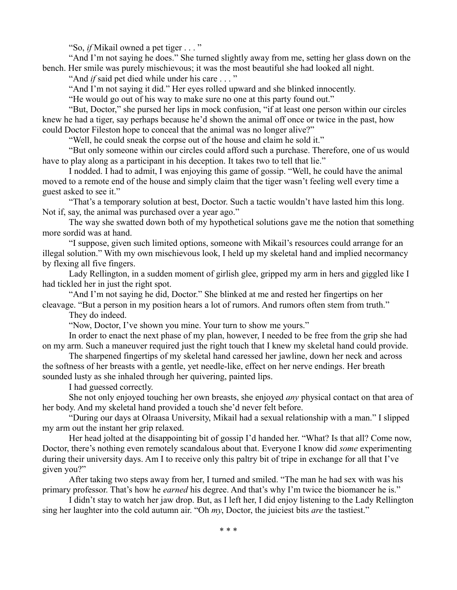"So, *if* Mikail owned a pet tiger . . . "

"And I'm not saying he does." She turned slightly away from me, setting her glass down on the bench. Her smile was purely mischievous; it was the most beautiful she had looked all night.

"And *if* said pet died while under his care . . . "

"And I'm not saying it did." Her eyes rolled upward and she blinked innocently.

"He would go out of his way to make sure no one at this party found out."

"But, Doctor," she pursed her lips in mock confusion, "if at least one person within our circles knew he had a tiger, say perhaps because he'd shown the animal off once or twice in the past, how could Doctor Fileston hope to conceal that the animal was no longer alive?"

"Well, he could sneak the corpse out of the house and claim he sold it."

"But only someone within our circles could afford such a purchase. Therefore, one of us would have to play along as a participant in his deception. It takes two to tell that lie."

I nodded. I had to admit, I was enjoying this game of gossip. "Well, he could have the animal moved to a remote end of the house and simply claim that the tiger wasn't feeling well every time a guest asked to see it."

"That's a temporary solution at best, Doctor. Such a tactic wouldn't have lasted him this long. Not if, say, the animal was purchased over a year ago."

The way she swatted down both of my hypothetical solutions gave me the notion that something more sordid was at hand.

"I suppose, given such limited options, someone with Mikail's resources could arrange for an illegal solution." With my own mischievous look, I held up my skeletal hand and implied necormancy by flexing all five fingers.

Lady Rellington, in a sudden moment of girlish glee, gripped my arm in hers and giggled like I had tickled her in just the right spot.

"And I'm not saying he did, Doctor." She blinked at me and rested her fingertips on her

cleavage. "But a person in my position hears a lot of rumors. And rumors often stem from truth." They do indeed.

"Now, Doctor, I've shown you mine. Your turn to show me yours."

In order to enact the next phase of my plan, however, I needed to be free from the grip she had on my arm. Such a maneuver required just the right touch that I knew my skeletal hand could provide.

The sharpened fingertips of my skeletal hand caressed her jawline, down her neck and across the softness of her breasts with a gentle, yet needle-like, effect on her nerve endings. Her breath sounded lusty as she inhaled through her quivering, painted lips.

I had guessed correctly.

She not only enjoyed touching her own breasts, she enjoyed *any* physical contact on that area of her body. And my skeletal hand provided a touch she'd never felt before.

"During our days at Olraasa University, Mikail had a sexual relationship with a man." I slipped my arm out the instant her grip relaxed.

Her head jolted at the disappointing bit of gossip I'd handed her. "What? Is that all? Come now, Doctor, there's nothing even remotely scandalous about that. Everyone I know did *some* experimenting during their university days. Am I to receive only this paltry bit of tripe in exchange for all that I've given you?"

After taking two steps away from her, I turned and smiled. "The man he had sex with was his primary professor. That's how he *earned* his degree. And that's why I'm twice the biomancer he is."

I didn't stay to watch her jaw drop. But, as I left her, I did enjoy listening to the Lady Rellington sing her laughter into the cold autumn air. "Oh *my*, Doctor, the juiciest bits *are* the tastiest."

\* \* \*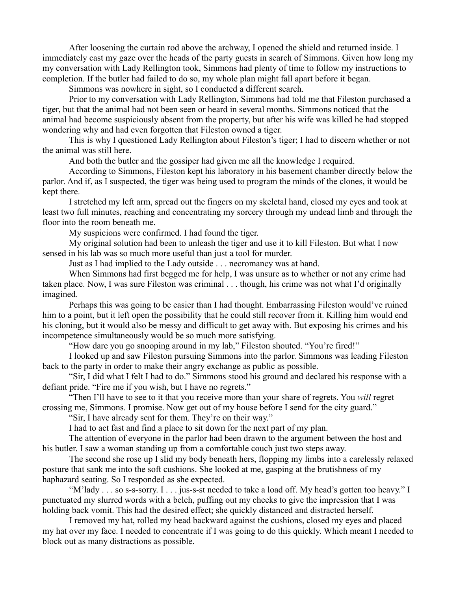After loosening the curtain rod above the archway, I opened the shield and returned inside. I immediately cast my gaze over the heads of the party guests in search of Simmons. Given how long my my conversation with Lady Rellington took, Simmons had plenty of time to follow my instructions to completion. If the butler had failed to do so, my whole plan might fall apart before it began.

Simmons was nowhere in sight, so I conducted a different search.

Prior to my conversation with Lady Rellington, Simmons had told me that Fileston purchased a tiger, but that the animal had not been seen or heard in several months. Simmons noticed that the animal had become suspiciously absent from the property, but after his wife was killed he had stopped wondering why and had even forgotten that Fileston owned a tiger.

This is why I questioned Lady Rellington about Fileston's tiger; I had to discern whether or not the animal was still here.

And both the butler and the gossiper had given me all the knowledge I required.

According to Simmons, Fileston kept his laboratory in his basement chamber directly below the parlor. And if, as I suspected, the tiger was being used to program the minds of the clones, it would be kept there.

I stretched my left arm, spread out the fingers on my skeletal hand, closed my eyes and took at least two full minutes, reaching and concentrating my sorcery through my undead limb and through the floor into the room beneath me.

My suspicions were confirmed. I had found the tiger.

My original solution had been to unleash the tiger and use it to kill Fileston. But what I now sensed in his lab was so much more useful than just a tool for murder.

Just as I had implied to the Lady outside . . . necromancy was at hand.

When Simmons had first begged me for help, I was unsure as to whether or not any crime had taken place. Now, I was sure Fileston was criminal . . . though, his crime was not what I'd originally imagined.

Perhaps this was going to be easier than I had thought. Embarrassing Fileston would've ruined him to a point, but it left open the possibility that he could still recover from it. Killing him would end his cloning, but it would also be messy and difficult to get away with. But exposing his crimes and his incompetence simultaneously would be so much more satisfying.

"How dare you go snooping around in my lab," Fileston shouted. "You're fired!"

I looked up and saw Fileston pursuing Simmons into the parlor. Simmons was leading Fileston back to the party in order to make their angry exchange as public as possible.

"Sir, I did what I felt I had to do." Simmons stood his ground and declared his response with a defiant pride. "Fire me if you wish, but I have no regrets."

"Then I'll have to see to it that you receive more than your share of regrets. You *will* regret crossing me, Simmons. I promise. Now get out of my house before I send for the city guard."

"Sir, I have already sent for them. They're on their way."

I had to act fast and find a place to sit down for the next part of my plan.

The attention of everyone in the parlor had been drawn to the argument between the host and his butler. I saw a woman standing up from a comfortable couch just two steps away.

The second she rose up I slid my body beneath hers, flopping my limbs into a carelessly relaxed posture that sank me into the soft cushions. She looked at me, gasping at the brutishness of my haphazard seating. So I responded as she expected.

"M'lady . . . so s-s-sorry. I . . . jus-s-st needed to take a load off. My head's gotten too heavy." I punctuated my slurred words with a belch, puffing out my cheeks to give the impression that I was holding back vomit. This had the desired effect; she quickly distanced and distracted herself.

I removed my hat, rolled my head backward against the cushions, closed my eyes and placed my hat over my face. I needed to concentrate if I was going to do this quickly. Which meant I needed to block out as many distractions as possible.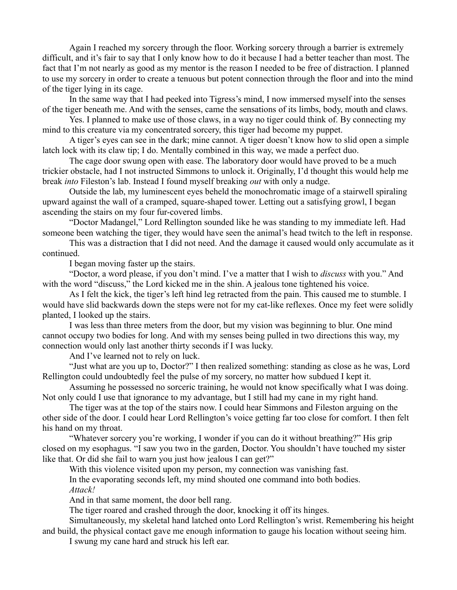Again I reached my sorcery through the floor. Working sorcery through a barrier is extremely difficult, and it's fair to say that I only know how to do it because I had a better teacher than most. The fact that I'm not nearly as good as my mentor is the reason I needed to be free of distraction. I planned to use my sorcery in order to create a tenuous but potent connection through the floor and into the mind of the tiger lying in its cage.

In the same way that I had peeked into Tigress's mind, I now immersed myself into the senses of the tiger beneath me. And with the senses, came the sensations of its limbs, body, mouth and claws.

Yes. I planned to make use of those claws, in a way no tiger could think of. By connecting my mind to this creature via my concentrated sorcery, this tiger had become my puppet.

A tiger's eyes can see in the dark; mine cannot. A tiger doesn't know how to slid open a simple latch lock with its claw tip; I do. Mentally combined in this way, we made a perfect duo.

The cage door swung open with ease. The laboratory door would have proved to be a much trickier obstacle, had I not instructed Simmons to unlock it. Originally, I'd thought this would help me break *into* Fileston's lab. Instead I found myself breaking *out* with only a nudge.

Outside the lab, my luminescent eyes beheld the monochromatic image of a stairwell spiraling upward against the wall of a cramped, square-shaped tower. Letting out a satisfying growl, I began ascending the stairs on my four fur-covered limbs.

"Doctor Madangel," Lord Rellington sounded like he was standing to my immediate left. Had someone been watching the tiger, they would have seen the animal's head twitch to the left in response.

This was a distraction that I did not need. And the damage it caused would only accumulate as it continued.

I began moving faster up the stairs.

"Doctor, a word please, if you don't mind. I've a matter that I wish to *discuss* with you." And with the word "discuss," the Lord kicked me in the shin. A jealous tone tightened his voice.

As I felt the kick, the tiger's left hind leg retracted from the pain. This caused me to stumble. I would have slid backwards down the steps were not for my cat-like reflexes. Once my feet were solidly planted, I looked up the stairs.

I was less than three meters from the door, but my vision was beginning to blur. One mind cannot occupy two bodies for long. And with my senses being pulled in two directions this way, my connection would only last another thirty seconds if I was lucky.

And I've learned not to rely on luck.

"Just what are you up to, Doctor?" I then realized something: standing as close as he was, Lord Rellington could undoubtedly feel the pulse of my sorcery, no matter how subdued I kept it.

Assuming he possessed no sorceric training, he would not know specifically what I was doing. Not only could I use that ignorance to my advantage, but I still had my cane in my right hand.

The tiger was at the top of the stairs now. I could hear Simmons and Fileston arguing on the other side of the door. I could hear Lord Rellington's voice getting far too close for comfort. I then felt his hand on my throat.

"Whatever sorcery you're working, I wonder if you can do it without breathing?" His grip closed on my esophagus. "I saw you two in the garden, Doctor. You shouldn't have touched my sister like that. Or did she fail to warn you just how jealous I can get?"

With this violence visited upon my person, my connection was vanishing fast.

In the evaporating seconds left, my mind shouted one command into both bodies. *Attack!*

And in that same moment, the door bell rang.

The tiger roared and crashed through the door, knocking it off its hinges.

Simultaneously, my skeletal hand latched onto Lord Rellington's wrist. Remembering his height and build, the physical contact gave me enough information to gauge his location without seeing him.

I swung my cane hard and struck his left ear.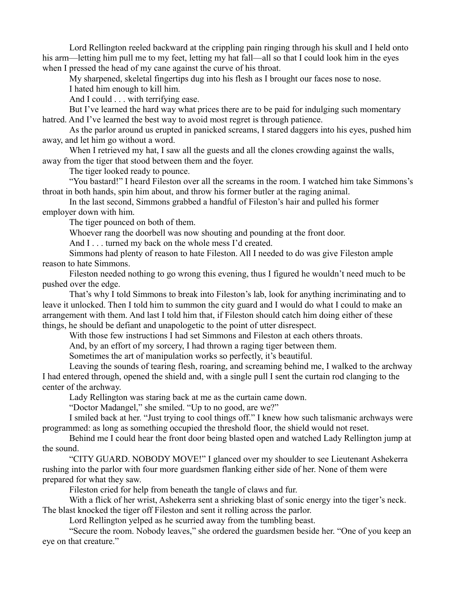Lord Rellington reeled backward at the crippling pain ringing through his skull and I held onto his arm—letting him pull me to my feet, letting my hat fall—all so that I could look him in the eyes when I pressed the head of my cane against the curve of his throat.

My sharpened, skeletal fingertips dug into his flesh as I brought our faces nose to nose. I hated him enough to kill him.

And I could . . . with terrifying ease.

But I've learned the hard way what prices there are to be paid for indulging such momentary hatred. And I've learned the best way to avoid most regret is through patience.

As the parlor around us erupted in panicked screams, I stared daggers into his eyes, pushed him away, and let him go without a word.

When I retrieved my hat, I saw all the guests and all the clones crowding against the walls, away from the tiger that stood between them and the foyer.

The tiger looked ready to pounce.

"You bastard!" I heard Fileston over all the screams in the room. I watched him take Simmons's throat in both hands, spin him about, and throw his former butler at the raging animal.

In the last second, Simmons grabbed a handful of Fileston's hair and pulled his former employer down with him.

The tiger pounced on both of them.

Whoever rang the doorbell was now shouting and pounding at the front door.

And I . . . turned my back on the whole mess I'd created.

Simmons had plenty of reason to hate Fileston. All I needed to do was give Fileston ample reason to hate Simmons.

Fileston needed nothing to go wrong this evening, thus I figured he wouldn't need much to be pushed over the edge.

That's why I told Simmons to break into Fileston's lab, look for anything incriminating and to leave it unlocked. Then I told him to summon the city guard and I would do what I could to make an arrangement with them. And last I told him that, if Fileston should catch him doing either of these things, he should be defiant and unapologetic to the point of utter disrespect.

With those few instructions I had set Simmons and Fileston at each others throats.

And, by an effort of my sorcery, I had thrown a raging tiger between them.

Sometimes the art of manipulation works so perfectly, it's beautiful.

Leaving the sounds of tearing flesh, roaring, and screaming behind me, I walked to the archway I had entered through, opened the shield and, with a single pull I sent the curtain rod clanging to the center of the archway.

Lady Rellington was staring back at me as the curtain came down.

"Doctor Madangel," she smiled. "Up to no good, are we?"

I smiled back at her. "Just trying to cool things off." I knew how such talismanic archways were programmed: as long as something occupied the threshold floor, the shield would not reset.

Behind me I could hear the front door being blasted open and watched Lady Rellington jump at the sound.

"CITY GUARD. NOBODY MOVE!" I glanced over my shoulder to see Lieutenant Ashekerra rushing into the parlor with four more guardsmen flanking either side of her. None of them were prepared for what they saw.

Fileston cried for help from beneath the tangle of claws and fur.

With a flick of her wrist, Ashekerra sent a shrieking blast of sonic energy into the tiger's neck. The blast knocked the tiger off Fileston and sent it rolling across the parlor.

Lord Rellington yelped as he scurried away from the tumbling beast.

"Secure the room. Nobody leaves," she ordered the guardsmen beside her. "One of you keep an eye on that creature."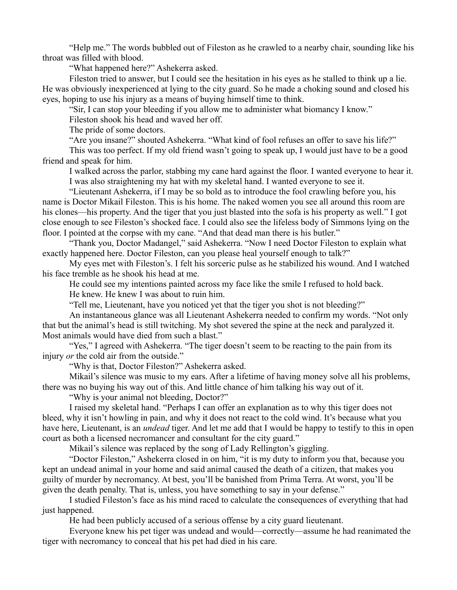"Help me." The words bubbled out of Fileston as he crawled to a nearby chair, sounding like his throat was filled with blood.

"What happened here?" Ashekerra asked.

Fileston tried to answer, but I could see the hesitation in his eyes as he stalled to think up a lie. He was obviously inexperienced at lying to the city guard. So he made a choking sound and closed his eyes, hoping to use his injury as a means of buying himself time to think.

"Sir, I can stop your bleeding if you allow me to administer what biomancy I know."

Fileston shook his head and waved her off.

The pride of some doctors.

"Are you insane?" shouted Ashekerra. "What kind of fool refuses an offer to save his life?"

This was too perfect. If my old friend wasn't going to speak up, I would just have to be a good friend and speak for him.

I walked across the parlor, stabbing my cane hard against the floor. I wanted everyone to hear it. I was also straightening my hat with my skeletal hand. I wanted everyone to see it.

"Lieutenant Ashekerra, if I may be so bold as to introduce the fool crawling before you, his name is Doctor Mikail Fileston. This is his home. The naked women you see all around this room are his clones—his property. And the tiger that you just blasted into the sofa is his property as well." I got close enough to see Fileston's shocked face. I could also see the lifeless body of Simmons lying on the floor. I pointed at the corpse with my cane. "And that dead man there is his butler."

"Thank you, Doctor Madangel," said Ashekerra. "Now I need Doctor Fileston to explain what exactly happened here. Doctor Fileston, can you please heal yourself enough to talk?"

My eyes met with Fileston's. I felt his sorceric pulse as he stabilized his wound. And I watched his face tremble as he shook his head at me.

He could see my intentions painted across my face like the smile I refused to hold back.

He knew. He knew I was about to ruin him.

"Tell me, Lieutenant, have you noticed yet that the tiger you shot is not bleeding?"

An instantaneous glance was all Lieutenant Ashekerra needed to confirm my words. "Not only that but the animal's head is still twitching. My shot severed the spine at the neck and paralyzed it. Most animals would have died from such a blast."

"Yes," I agreed with Ashekerra. "The tiger doesn't seem to be reacting to the pain from its injury *or* the cold air from the outside."

"Why is that, Doctor Fileston?" Ashekerra asked.

Mikail's silence was music to my ears. After a lifetime of having money solve all his problems, there was no buying his way out of this. And little chance of him talking his way out of it.

"Why is your animal not bleeding, Doctor?"

I raised my skeletal hand. "Perhaps I can offer an explanation as to why this tiger does not bleed, why it isn't howling in pain, and why it does not react to the cold wind. It's because what you have here, Lieutenant, is an *undead* tiger. And let me add that I would be happy to testify to this in open court as both a licensed necromancer and consultant for the city guard."

Mikail's silence was replaced by the song of Lady Rellington's giggling.

"Doctor Fileston," Ashekerra closed in on him, "it is my duty to inform you that, because you kept an undead animal in your home and said animal caused the death of a citizen, that makes you guilty of murder by necromancy. At best, you'll be banished from Prima Terra. At worst, you'll be given the death penalty. That is, unless, you have something to say in your defense."

I studied Fileston's face as his mind raced to calculate the consequences of everything that had just happened.

He had been publicly accused of a serious offense by a city guard lieutenant.

Everyone knew his pet tiger was undead and would—correctly—assume he had reanimated the tiger with necromancy to conceal that his pet had died in his care.